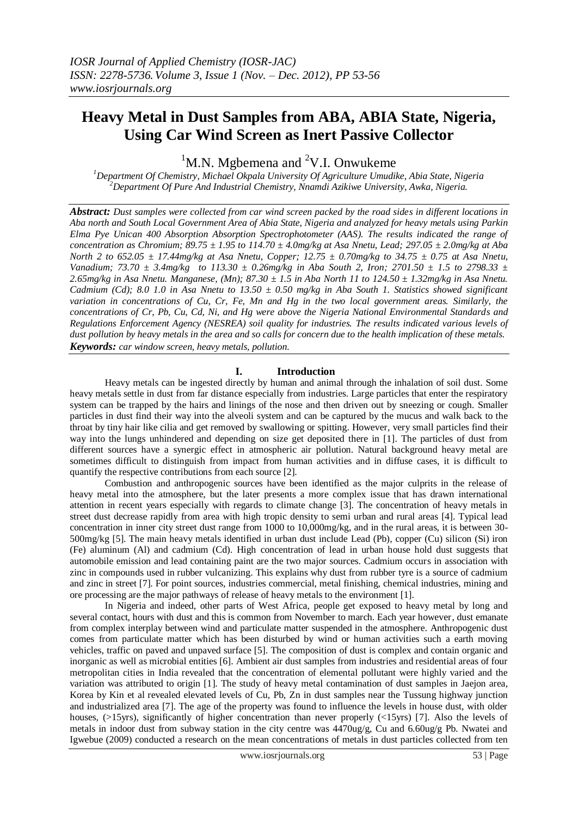# **Heavy Metal in Dust Samples from ABA, ABIA State, Nigeria, Using Car Wind Screen as Inert Passive Collector**

 ${}^{1}$ M.N. Mgbemena and  ${}^{2}V$ .I. Onwukeme

*<sup>1</sup>Department Of Chemistry, Michael Okpala University Of Agriculture Umudike, Abia State, Nigeria <sup>2</sup>Department Of Pure And Industrial Chemistry, Nnamdi Azikiwe University, Awka, Nigeria.*

*Abstract: Dust samples were collected from car wind screen packed by the road sides in different locations in Aba north and South Local Government Area of Abia State, Nigeria and analyzed for heavy metals using Parkin Elma Pye Unican 400 Absorption Absorption Spectrophotometer (AAS). The results indicated the range of concentration as Chromium; 89.75 ± 1.95 to 114.70 ± 4.0mg/kg at Asa Nnetu, Lead; 297.05 ± 2.0mg/kg at Aba North 2 to 652.05 ± 17.44mg/kg at Asa Nnetu, Copper; 12.75 ± 0.70mg/kg to 34.75 ± 0.75 at Asa Nnetu, Vanadium; 73.70 ± 3.4mg/kg to 113.30 ± 0.26mg/kg in Aba South 2, Iron; 2701.50 ± 1.5 to 2798.33 ± 2.65mg/kg in Asa Nnetu. Manganese, (Mn); 87.30 ± 1.5 in Aba North 11 to 124.50 ± 1.32mg/kg in Asa Nnetu. Cadmium (Cd); 8.0 1.0 in Asa Nnetu to 13.50 ± 0.50 mg/kg in Aba South 1. Statistics showed significant variation in concentrations of Cu, Cr, Fe, Mn and Hg in the two local government areas. Similarly, the concentrations of Cr, Pb, Cu, Cd, Ni, and Hg were above the Nigeria National Environmental Standards and Regulations Enforcement Agency (NESREA) soil quality for industries. The results indicated various levels of dust pollution by heavy metals in the area and so calls for concern due to the health implication of these metals. Keywords: car window screen, heavy metals, pollution.* 

### **I. Introduction**

Heavy metals can be ingested directly by human and animal through the inhalation of soil dust. Some heavy metals settle in dust from far distance especially from industries. Large particles that enter the respiratory system can be trapped by the hairs and linings of the nose and then driven out by sneezing or cough. Smaller particles in dust find their way into the alveoli system and can be captured by the mucus and walk back to the throat by tiny hair like cilia and get removed by swallowing or spitting. However, very small particles find their way into the lungs unhindered and depending on size get deposited there in [1]. The particles of dust from different sources have a synergic effect in atmospheric air pollution. Natural background heavy metal are sometimes difficult to distinguish from impact from human activities and in diffuse cases, it is difficult to quantify the respective contributions from each source [2].

Combustion and anthropogenic sources have been identified as the major culprits in the release of heavy metal into the atmosphere, but the later presents a more complex issue that has drawn international attention in recent years especially with regards to climate change [3]. The concentration of heavy metals in street dust decrease rapidly from area with high tropic density to semi urban and rural areas [4]. Typical lead concentration in inner city street dust range from 1000 to 10,000mg/kg, and in the rural areas, it is between 30- 500mg/kg [5]. The main heavy metals identified in urban dust include Lead (Pb), copper (Cu) silicon (Si) iron (Fe) aluminum (Al) and cadmium (Cd). High concentration of lead in urban house hold dust suggests that automobile emission and lead containing paint are the two major sources. Cadmium occurs in association with zinc in compounds used in rubber vulcanizing. This explains why dust from rubber tyre is a source of cadmium and zinc in street [7]. For point sources, industries commercial, metal finishing, chemical industries, mining and ore processing are the major pathways of release of heavy metals to the environment [1].

In Nigeria and indeed, other parts of West Africa, people get exposed to heavy metal by long and several contact, hours with dust and this is common from November to march. Each year however, dust emanate from complex interplay between wind and particulate matter suspended in the atmosphere. Anthropogenic dust comes from particulate matter which has been disturbed by wind or human activities such a earth moving vehicles, traffic on paved and unpaved surface [5]. The composition of dust is complex and contain organic and inorganic as well as microbial entities [6]. Ambient air dust samples from industries and residential areas of four metropolitan cities in India revealed that the concentration of elemental pollutant were highly varied and the variation was attributed to origin [1]. The study of heavy metal contamination of dust samples in Jaejon area, Korea by Kin et al revealed elevated levels of Cu, Pb, Zn in dust samples near the Tussung highway junction and industrialized area [7]. The age of the property was found to influence the levels in house dust, with older houses, (>15yrs), significantly of higher concentration than never properly (<15yrs) [7]. Also the levels of metals in indoor dust from subway station in the city centre was 4470ug/g, Cu and 6.60ug/g Pb. Nwatei and Igwebue (2009) conducted a research on the mean concentrations of metals in dust particles collected from ten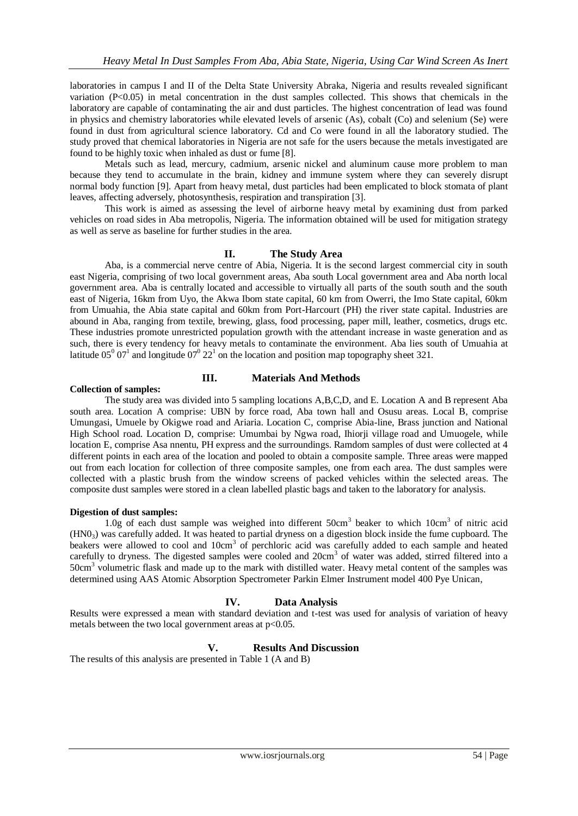laboratories in campus I and II of the Delta State University Abraka, Nigeria and results revealed significant variation (P<0.05) in metal concentration in the dust samples collected. This shows that chemicals in the laboratory are capable of contaminating the air and dust particles. The highest concentration of lead was found in physics and chemistry laboratories while elevated levels of arsenic (As), cobalt (Co) and selenium (Se) were found in dust from agricultural science laboratory. Cd and Co were found in all the laboratory studied. The study proved that chemical laboratories in Nigeria are not safe for the users because the metals investigated are found to be highly toxic when inhaled as dust or fume [8].

Metals such as lead, mercury, cadmium, arsenic nickel and aluminum cause more problem to man because they tend to accumulate in the brain, kidney and immune system where they can severely disrupt normal body function [9]. Apart from heavy metal, dust particles had been emplicated to block stomata of plant leaves, affecting adversely, photosynthesis, respiration and transpiration [3].

This work is aimed as assessing the level of airborne heavy metal by examining dust from parked vehicles on road sides in Aba metropolis, Nigeria. The information obtained will be used for mitigation strategy as well as serve as baseline for further studies in the area.

## **II. The Study Area**

Aba, is a commercial nerve centre of Abia, Nigeria. It is the second largest commercial city in south east Nigeria, comprising of two local government areas, Aba south Local government area and Aba north local government area. Aba is centrally located and accessible to virtually all parts of the south south and the south east of Nigeria, 16km from Uyo, the Akwa Ibom state capital, 60 km from Owerri, the Imo State capital, 60km from Umuahia, the Abia state capital and 60km from Port-Harcourt (PH) the river state capital. Industries are abound in Aba, ranging from textile, brewing, glass, food processing, paper mill, leather, cosmetics, drugs etc. These industries promote unrestricted population growth with the attendant increase in waste generation and as such, there is every tendency for heavy metals to contaminate the environment. Aba lies south of Umuahia at latitude  $05^{\circ}$   $07^{\circ}$  and longitude  $07^{\circ}$   $22^{\circ}$  on the location and position map topography sheet 321.

#### **III. Materials And Methods**

#### **Collection of samples:**

The study area was divided into 5 sampling locations A,B,C,D, and E. Location A and B represent Aba south area. Location A comprise: UBN by force road, Aba town hall and Osusu areas. Local B, comprise Umungasi, Umuele by Okigwe road and Ariaria. Location C, comprise Abia-line, Brass junction and National High School road. Location D, comprise: Umumbai by Ngwa road, Ihiorji village road and Umuogele, while location E, comprise Asa nnentu, PH express and the surroundings. Ramdom samples of dust were collected at 4 different points in each area of the location and pooled to obtain a composite sample. Three areas were mapped out from each location for collection of three composite samples, one from each area. The dust samples were collected with a plastic brush from the window screens of packed vehicles within the selected areas. The composite dust samples were stored in a clean labelled plastic bags and taken to the laboratory for analysis.

#### **Digestion of dust samples:**

1.0g of each dust sample was weighed into different 50cm<sup>3</sup> beaker to which 10cm<sup>3</sup> of nitric acid (HN03) was carefully added. It was heated to partial dryness on a digestion block inside the fume cupboard. The beakers were allowed to cool and 10cm<sup>3</sup> of perchloric acid was carefully added to each sample and heated carefully to dryness. The digested samples were cooled and 20cm<sup>3</sup> of water was added, stirred filtered into a 50cm<sup>3</sup> volumetric flask and made up to the mark with distilled water. Heavy metal content of the samples was determined using AAS Atomic Absorption Spectrometer Parkin Elmer Instrument model 400 Pye Unican,

## **IV. Data Analysis**

Results were expressed a mean with standard deviation and t-test was used for analysis of variation of heavy metals between the two local government areas at  $p<0.05$ .

## **V. Results And Discussion**

The results of this analysis are presented in Table 1 (A and B)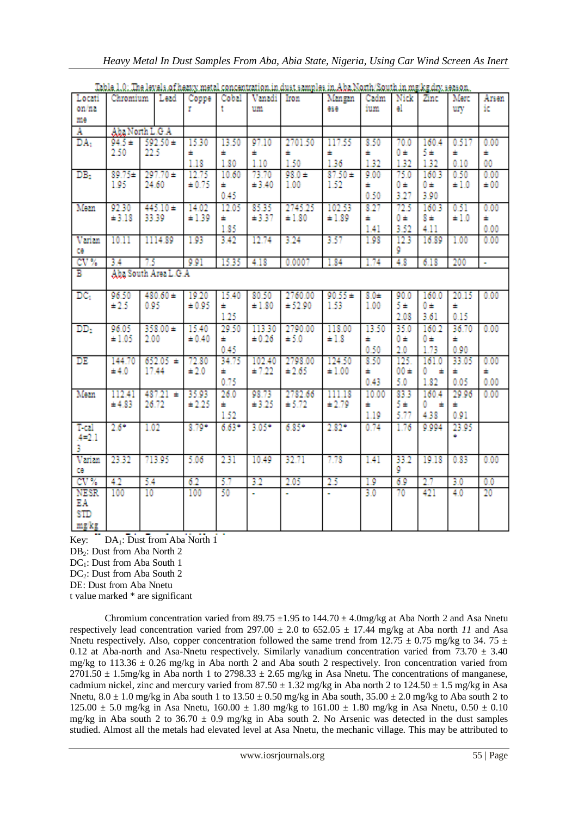|                 | <b>WEIGHT ANK A MENT AT A THA</b> |              |             |         |             | wan anno campo co ann |             |           |          | <b>MARINAHAM MARIAN PROVINCIAL AN</b> |           |                |
|-----------------|-----------------------------------|--------------|-------------|---------|-------------|-----------------------|-------------|-----------|----------|---------------------------------------|-----------|----------------|
| Locati          | Chromium                          | Lead         | Coppe Cobal |         | Vanadi Iron |                       | Mangan      | Cadm      | Nick     | Zinc                                  | Merc      | Arsen          |
| on/na           |                                   |              |             |         | um          |                       | ese         | ium       | el.      |                                       | ury       | ic             |
| me              |                                   |              |             |         |             |                       |             |           |          |                                       |           |                |
| А               | Aba North L.G.A                   |              |             |         |             |                       |             |           |          |                                       |           |                |
| DA <sub>1</sub> | $592.50 \pm$<br>94.5±             |              | 15.30       | 13.50   | 97.10       | 2701.50               | 117.55      | 8.50      | 70.0     | 160.4                                 | 0.517     | 0.00           |
|                 | 2.50                              | 22.5         |             |         |             |                       |             |           |          | $5\pm$                                |           |                |
|                 |                                   |              | ÷           | ÷       | ÷           | ÷                     | ÷           | ±.        | 0±       |                                       | ÷         | ±.             |
|                 |                                   |              | 1.18        | 1.80    | 1.10        | 1.50                  | 1.36        | 1.32      | 1.32     | 1.32                                  | 0.10      | 00             |
| DB <sub>2</sub> | $89.75 +$                         | $297.70 +$   | 12.75       | 10.60   | 73.70       | $98.0 +$              | $87.50 +$   | 9.00      | 75.0     | 160.3                                 | 0.50      | 0.00           |
|                 | 1.95                              | 24.60        | ± 0.75      | ÷       | ± 3.40      | 1.00                  | 1.52        | ÷         | 0±       | 0±                                    | $\pm 1.0$ | ±00            |
|                 |                                   |              |             | 0.45    |             |                       |             | 0.50      | 3.27     | 3.90                                  |           |                |
|                 |                                   |              |             |         |             |                       |             |           |          |                                       |           |                |
| Mean            | 92.30                             | $445.10 \pm$ | 14.02       | 12.05   | 85.35       | 2745.25               | 102.53      | 8.27      | 72.5     | 160.3                                 | 0.51      | 0.00           |
|                 | $\pm 3.18$                        | 33.39        | ±1.39       | ÷       | ±3.37       | ±1.80                 | ±1.89       | ÷         | 0 ±      | $8 \pm$                               | $\pm 1.0$ | ٠.             |
|                 |                                   |              |             | 1.85    |             |                       |             | 1.41      | 3.52     | 4.11                                  |           | 0.00           |
| Varian          | 10.11                             | 1114.89      | 1.93        | 3.42    | 12.74       | 3.24                  | 3.57        | 1.98      | 12.3     | 16.89                                 | 1.00      | 0.00           |
| ce              |                                   |              |             |         |             |                       |             |           | 9        |                                       |           |                |
| CV <sub>%</sub> | 3.4                               | 75           | 9.91        | 15.35   | 4.18        | 0.0007                | 1.84        | 1.74      | 4.8      | 6.18                                  | 200       | $\blacksquare$ |
| в               |                                   |              |             |         |             |                       |             |           |          |                                       |           |                |
|                 | Aba South Area L.G.A              |              |             |         |             |                       |             |           |          |                                       |           |                |
| DC <sub>1</sub> | 96.50                             | $480.60 \pm$ | 19.20       | 15.40   | 80.50       | 2760.00               | $90.55 \pm$ | $8.0 \pm$ | 90.0     | 160.0                                 | 20.15     | 0.00           |
|                 | $\pm 2.5$                         | 0.95         | ± 0.95      |         | ±1.80       | ± 52.90               | 1.53        | 1.00      | 5±       | $0 \pm$                               | ÷         |                |
|                 |                                   |              |             | ÷       |             |                       |             |           |          |                                       |           |                |
|                 |                                   |              |             | 1.25    |             |                       |             |           | 2.08     | 3.61                                  | 0.15      |                |
| DD <sub>2</sub> | 96.05                             | $358.00 +$   | 15.40       | 29.50   | 113.30      | 2790.00               | 118.00      | 13.50     | 35.0     | 160.2                                 | 36.70     | 0.00           |
|                 | $\pm 1.05$                        | 2.00         | ± 0.40      | ÷       | ± 0.26      | ± 5.0                 | $\pm 1.8$   | ÷         | 0±       | 0 ±                                   | ÷         |                |
|                 |                                   |              |             | 0.45    |             |                       |             | 0.50      | 2.0      | 1.73                                  | 0.90      |                |
| DE              | 144.70                            | $652.05 \pm$ | 72.80       | 34.75   |             | 102.40 2798.00        | 124.50      | 8.50      | 125.     | 161.0                                 | 33.05     | 0.00           |
|                 | ±4.0                              | 17.44        | $\pm 2.0$   | ÷.      | $\pm 7.22$  | $\pm 2.65$            | ±1.00       | ÷         | $00 \pm$ | ٥<br>÷                                | ÷         | ÷.             |
|                 |                                   |              |             |         |             |                       |             |           |          |                                       |           |                |
|                 |                                   |              |             | 0.75    |             |                       |             | 0.43      | 5.0      | 1.82                                  | 0.05      | 0.00           |
| Mean            | 112.41                            | $487.21 =$   | 35.93       | 26.0    | 98.73       | 2782.66               | 111.18      | 10.00     | 83.3     | 160.4                                 | 29.96     | 0.00           |
|                 | ±4.83                             | 26.72        | ±2.25       | ÷       | $\pm 3.25$  | ± 5.72                | ± 2.79      | ÷         | 5±.      | ٥<br>$\pm$                            | ÷         |                |
|                 |                                   |              |             | 1.52    |             |                       |             | 1.19      | 5.77     | 4.38                                  | 0.91      |                |
| T-cal           | $2.6*$                            | 1.02         | $8.79*$     | $6.63*$ | $3.05*$     | $6.85^{\circ}$        | $2.82*$     | 0.74      | 1.76     | 9.994                                 | 23.95     |                |
| $4 = 2.1$       |                                   |              |             |         |             |                       |             |           |          |                                       |           |                |
| 3               |                                   |              |             |         |             |                       |             |           |          |                                       |           |                |
|                 |                                   |              |             |         |             |                       |             |           |          |                                       |           |                |
| Varian          | 23.32                             | 713.95       | 5.06        | 2.31    | 10.49       | 32.71                 | 7.78        | 1.41      | 33.2     | 19.18                                 | 0.83      | 0.00           |
| ce              |                                   |              |             |         |             |                       |             |           | ٥        |                                       |           |                |
| CV <sub>x</sub> | 4.2                               | 5.4          | 6.2         | 5.7     | 3.2         | 2.05                  | 25          | 1.9       | 6.9      | 2.7                                   | 3.0       | 0.0            |
| <b>NESR</b>     | 100                               | 10           | 100         | 50      | ÷           |                       | ÷.          | 3.0       | 70       | 421                                   | 4.0       | 20             |
| EΑ              |                                   |              |             |         |             |                       |             |           |          |                                       |           |                |
| STD             |                                   |              |             |         |             |                       |             |           |          |                                       |           |                |
| mg/kg           |                                   |              |             |         |             |                       |             |           |          |                                       |           |                |
|                 |                                   |              |             |         |             |                       |             |           |          |                                       |           |                |

Table 1.0: The levels of heavy metal concentration in dust samples in Aba North/South in molecular season.

Key: DA<sub>1</sub>: Dust from Aba North 1 DB2: Dust from Aba North 2 DC<sub>1</sub>: Dust from Aba South 1 DC<sub>2</sub>: Dust from Aba South 2 DE: Dust from Aba Nnetu

t value marked \* are significant

Chromium concentration varied from 89.75  $\pm$ 1.95 to 144.70  $\pm$  4.0mg/kg at Aba North 2 and Asa Nnetu respectively lead concentration varied from 297.00  $\pm$  2.0 to 652.05  $\pm$  17.44 mg/kg at Aba north *11* and Asa Nnetu respectively. Also, copper concentration followed the same trend from 12.75  $\pm$  0.75 mg/kg to 34. 75  $\pm$ 0.12 at Aba-north and Asa-Nnetu respectively. Similarly vanadium concentration varied from  $73.70 \pm 3.40$ mg/kg to 113.36  $\pm$  0.26 mg/kg in Aba north 2 and Aba south 2 respectively. Iron concentration varied from  $2701.50 \pm 1.5$ mg/kg in Aba north 1 to 2798.33  $\pm$  2.65 mg/kg in Asa Nnetu. The concentrations of manganese, cadmium nickel, zinc and mercury varied from  $87.50 \pm 1.32$  mg/kg in Aba north 2 to  $124.50 \pm 1.5$  mg/kg in Asa Nnetu,  $8.0 \pm 1.0$  mg/kg in Aba south 1 to  $13.50 \pm 0.50$  mg/kg in Aba south,  $35.00 \pm 2.0$  mg/kg to Aba south 2 to  $125.00 \pm 5.0$  mg/kg in Asa Nnetu,  $160.00 \pm 1.80$  mg/kg to  $161.00 \pm 1.80$  mg/kg in Asa Nnetu,  $0.50 \pm 0.10$ mg/kg in Aba south 2 to  $36.70 \pm 0.9$  mg/kg in Aba south 2. No Arsenic was detected in the dust samples studied. Almost all the metals had elevated level at Asa Nnetu, the mechanic village. This may be attributed to